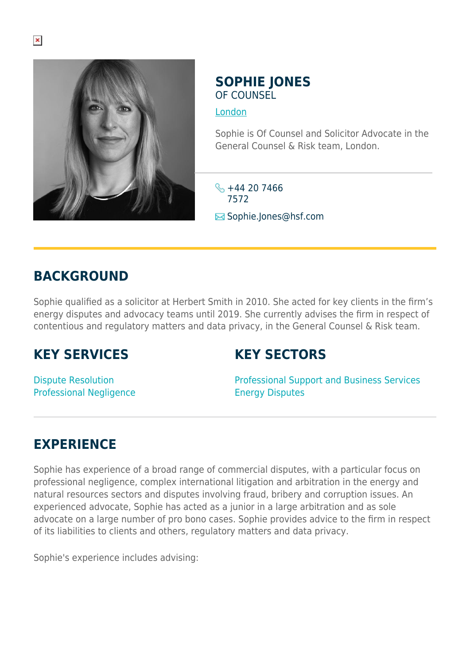

### **SOPHIE JONES** OF COUNSEL

[London](https://www.herbertsmithfreehills.com/where-we-work/london)

Sophie is Of Counsel and Solicitor Advocate in the General Counsel & Risk team, London.

 $\frac{1}{2}$  +44 20 7466 7572 **E**Sophie.Jones@hsf.com

# **BACKGROUND**

Sophie qualified as a solicitor at Herbert Smith in 2010. She acted for key clients in the firm's energy disputes and advocacy teams until 2019. She currently advises the firm in respect of contentious and regulatory matters and data privacy, in the General Counsel & Risk team.

## **KEY SERVICES**

## **KEY SECTORS**

Dispute Resolution Professional Negligence Professional Support and Business Services Energy Disputes

# **EXPERIENCE**

Sophie has experience of a broad range of commercial disputes, with a particular focus on professional negligence, complex international litigation and arbitration in the energy and natural resources sectors and disputes involving fraud, bribery and corruption issues. An experienced advocate, Sophie has acted as a junior in a large arbitration and as sole advocate on a large number of pro bono cases. Sophie provides advice to the firm in respect of its liabilities to clients and others, regulatory matters and data privacy.

Sophie's experience includes advising: